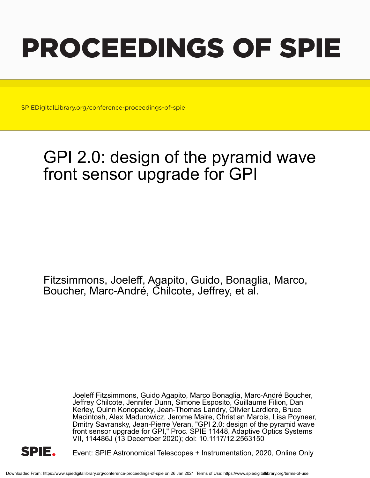# PROCEEDINGS OF SPIE

SPIEDigitalLibrary.org/conference-proceedings-of-spie

## GPI 2.0: design of the pyramid wave front sensor upgrade for GPI

Fitzsimmons, Joeleff, Agapito, Guido, Bonaglia, Marco, Boucher, Marc-André, Chilcote, Jeffrey, et al.

> Joeleff Fitzsimmons, Guido Agapito, Marco Bonaglia, Marc-André Boucher, Jeffrey Chilcote, Jennifer Dunn, Simone Esposito, Guillaume Filion, Dan Kerley, Quinn Konopacky, Jean-Thomas Landry, Olivier Lardiere, Bruce Macintosh, Alex Madurowicz, Jerome Maire, Christian Marois, Lisa Poyneer, Dmitry Savransky, Jean-Pierre Veran, "GPI 2.0: design of the pyramid wave front sensor upgrade for GPI," Proc. SPIE 11448, Adaptive Optics Systems VII, 114486J (13 December 2020); doi: 10.1117/12.2563150



Event: SPIE Astronomical Telescopes + Instrumentation, 2020, Online Only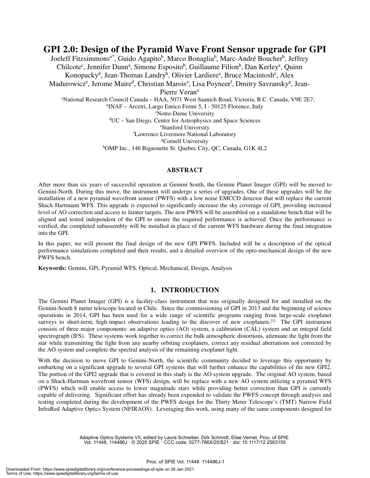**GPI 2.0: Design of the Pyramid Wave Front Sensor upgrade for GPI** Joeleff Fitzsimmons<sup>a\*</sup>, Guido Agapito<sup>b</sup>, Marco Bonaglia<sup>b</sup>, Marc-André Boucher<sup>h</sup>, Jeffrey Chilcote<sup>c</sup>, Jennifer Dunn<sup>a</sup>, Simone Esposito<sup>b</sup>, Guillaume Filion<sup>h</sup>, Dan Kerley<sup>a</sup>, Quinn Konopacky<sup>d</sup>, Jean-Thomas Landry<sup>h</sup>, Olivier Lardiere<sup>a</sup>, Bruce Macintosh<sup>e</sup>, Alex Madurowicz<sup>e</sup>, Jerome Maire<sup>d</sup>, Christian Marois<sup>a</sup>, Lisa Poyneer<sup>f</sup>, Dmitry Savransky<sup>g</sup>, Jean-Pierre Veran<sup>a</sup> <sup>a</sup>National Research Council Canada – HAA, 5071 West Saanich Road, Victoria, B.C. Canada, V9E 2E7; b INAF – Arcetri, Largo Enrico Fermi 5, I - 50125 Florence, Italy <sup>c</sup>Notre-Dame University <sup>d</sup>UC – San Diego, Center for Astrophysics and Space Sciences <sup>e</sup>Stanford University <sup>f</sup>Lawrence Livermore National Laboratory

<sup>g</sup>Cornell University

hOMP Inc., 146 Bigaouette St. Quebec City, QC, Canada, G1K 4L2

#### **ABSTRACT**

After more than six years of successful operation at Gemini South, the Gemini Planet Imager (GPI) will be moved to Gemini-North. During this move, the instrument will undergo a series of upgrades. One of these upgrades will be the installation of a new pyramid wavefront sensor (PWFS) with a low noise EMCCD detector that will replace the current Shack-Hartmann WFS. This upgrade is expected to significantly increase the sky coverage of GPI, providing increased level of AO correction and access to fainter targets. The new PWFS will be assembled on a standalone bench that will be aligned and tested independent of the GPI to ensure the required performance is achieved. Once the performance is verified, the completed subassembly will be installed in place of the current WFS hardware during the final integration into the GPI.

In this paper, we will present the final design of the new GPI PWFS. Included will be a description of the optical performance simulations completed and their results, and a detailed overview of the opto-mechanical design of the new PWFS bench.

**Keywords:** Gemini, GPi, Pyramid WFS, Optical, Mechanical, Design, Analysis

### **1. INTRODUCTION**

The Gemini Planet Imager (GPI) is a facility-class instrument that was originally designed for and installed on the Gemini-South 8 meter telescope located in Chile. Since the commissioning of GPI in 2013 and the beginning of science operations in 2014, GPI has been used for a wide range of scientific programs ranging from large-scale exoplanet surveys to short-term, high-impact observations leading to the discover of new exoplanets.<sup>[1]</sup> The GPI instrument consists of three major components: an adaptive optics (AO) system, a calibration (CAL) system and an integral field spectrograph (IFS). These systems work together to correct the bulk atmospheric distortions, attenuate the light from the star while transmitting the light from any nearby orbiting exoplanets, correct any residual aberrations not corrected by the AO system and complete the spectral analysis of the remaining exoplanet light.

With the decision to move GPI to Gemini-North, the scientific community decided to leverage this opportunity by embarking on a significant upgrade to several GPI systems that will further enhance the capabilities of the new GPI2. The portion of the GPI2 upgrade that is covered in this study is the AO system upgrade. The original AO system, based on a Shack-Hartman wavefront sensor (WFS) design, will be replace with a new AO system utilizing a pyramid WFS (PWFS) which will enable access to lower magnitude stars while providing better correction than GPI is currently capable of delivering. Significant effort has already been expended to validate the PWFS concept through analysis and testing completed during the development of the PWFS design for the Thirty Meter Telescope's (TMT) Narrow Field InfraRed Adaptive Optics System (NFIRAOS). Leveraging this work, using many of the same components designed for

> Adaptive Optics Systems VII, edited by Laura Schreiber, Dirk Schmidt, Elise Vernet, Proc. of SPIE Vol. 11448, 114486J · © 2020 SPIE · CCC code: 0277-786X/20/\$21 · doi: 10.1117/12.2563150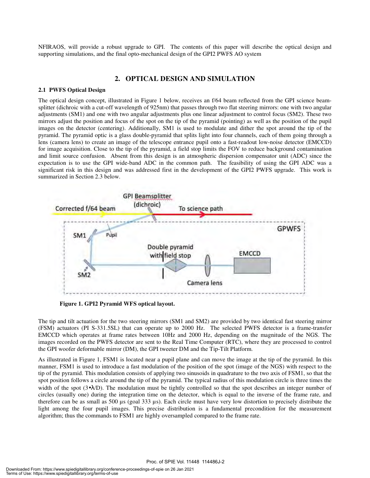NFIRAOS, will provide a robust upgrade to GPI. The contents of this paper will describe the optical design and supporting simulations, and the final opto-mechanical design of the GPI2 PWFS AO system

#### **2. OPTICAL DESIGN AND SIMULATION**

#### **2.1 PWFS Optical Design**

The optical design concept, illustrated in Figure 1 below, receives an f/64 beam reflected from the GPI science beamsplitter (dichroic with a cut-off wavelength of 925nm) that passes through two flat steering mirrors: one with two angular adjustments (SM1) and one with two angular adjustments plus one linear adjustment to control focus (SM2). These two mirrors adjust the position and focus of the spot on the tip of the pyramid (pointing) as well as the position of the pupil images on the detector (centering). Additionally, SM1 is used to modulate and dither the spot around the tip of the pyramid. The pyramid optic is a glass double-pyramid that splits light into four channels, each of them going through a lens (camera lens) to create an image of the telescope entrance pupil onto a fast-readout low-noise detector (EMCCD) for image acquisition. Close to the tip of the pyramid, a field stop limits the FOV to reduce background contamination and limit source confusion. Absent from this design is an atmospheric dispersion compensator unit (ADC) since the expectation is to use the GPI wide-band ADC in the common path. The feasibility of using the GPI ADC was a significant risk in this design and was addressed first in the development of the GPI2 PWFS upgrade. This work is summarized in Section 2.3 below.



**Figure 1. GPI2 Pyramid WFS optical layout.** 

The tip and tilt actuation for the two steering mirrors (SM1 and SM2) are provided by two identical fast steering mirror (FSM) actuators (PI S-331.5SL) that can operate up to 2000 Hz. The selected PWFS detector is a frame-transfer EMCCD which operates at frame rates between 10Hz and 2000 Hz, depending on the magnitude of the NGS. The images recorded on the PWFS detector are sent to the Real Time Computer (RTC), where they are processed to control the GPI woofer deformable mirror (DM), the GPI tweeter DM and the Tip-Tilt Platform.

As illustrated in Figure 1, FSM1 is located near a pupil plane and can move the image at the tip of the pyramid. In this manner, FSM1 is used to introduce a fast modulation of the position of the spot (image of the NGS) with respect to the tip of the pyramid. This modulation consists of applying two sinusoids in quadrature to the two axis of FSM1, so that the spot position follows a circle around the tip of the pyramid. The typical radius of this modulation circle is three times the width of the spot  $(3\bullet\lambda/D)$ . The modulation must be tightly controlled so that the spot describes an integer number of circles (usually one) during the integration time on the detector, which is equal to the inverse of the frame rate, and therefore can be as small as 500  $\mu$ s (goal 333  $\mu$ s). Each circle must have very low distortion to precisely distribute the light among the four pupil images. This precise distribution is a fundamental precondition for the measurement algorithm; thus the commands to FSM1 are highly oversampled compared to the frame rate.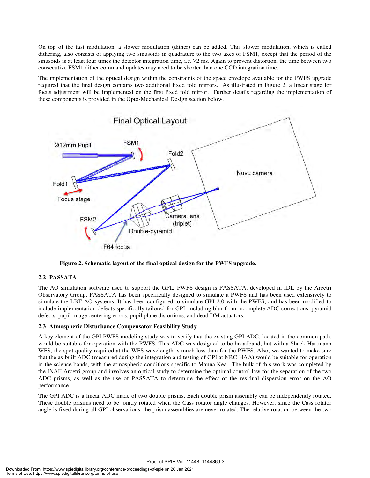On top of the fast modulation, a slower modulation (dither) can be added. This slower modulation, which is called dithering, also consists of applying two sinusoids in quadrature to the two axes of FSM1, except that the period of the sinusoids is at least four times the detector integration time, i.e.  $\geq 2$  ms. Again to prevent distortion, the time between two consecutive FSM1 dither command updates may need to be shorter than one CCD integration time.

The implementation of the optical design within the constraints of the space envelope available for the PWFS upgrade required that the final design contains two additional fixed fold mirrors. As illustrated in Figure 2, a linear stage for focus adjustment will be implemented on the first fixed fold mirror. Further details regarding the implementation of these components is provided in the Opto-Mechanical Design section below.



**Figure 2. Schematic layout of the final optical design for the PWFS upgrade.** 

#### **2.2 PASSATA**

The AO simulation software used to support the GPI2 PWFS design is PASSATA, developed in IDL by the Arcetri Observatory Group. PASSATA has been specifically designed to simulate a PWFS and has been used extensively to simulate the LBT AO systems. It has been configured to simulate GPI 2.0 with the PWFS, and has been modified to include implementation defects specifically tailored for GPI, including blur from incomplete ADC corrections, pyramid defects, pupil image centering errors, pupil plane distortions, and dead DM actuators.

#### **2.3 Atmospheric Disturbance Compensator Feasibility Study**

A key element of the GPI PWFS modeling study was to verify that the existing GPI ADC, located in the common path, would be suitable for operation with the PWFS. This ADC was designed to be broadband, but with a Shack-Hartmann WFS, the spot quality required at the WFS wavelength is much less than for the PWFS. Also, we wanted to make sure that the as-built ADC (measured during the integration and testing of GPI at NRC-HAA) would be suitable for operation in the science bands, with the atmospheric conditions specific to Mauna Kea. The bulk of this work was completed by the INAF-Arcetri group and involves an optical study to determine the optimal control law for the separation of the two ADC prisms, as well as the use of PASSATA to determine the effect of the residual dispersion error on the AO performance.

The GPI ADC is a linear ADC made of two double prisms. Each double prism assembly can be independently rotated. These double prisims need to be jointly rotated when the Cass rotator angle changes. However, since the Cass rotator angle is fixed during all GPI observations, the prism assemblies are never rotated. The relative rotation between the two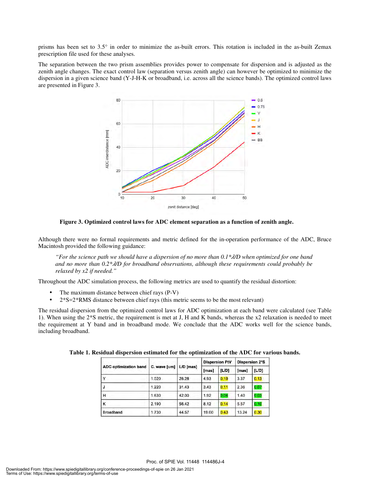prisms has been set to 3.5° in order to minimize the as-built errors. This rotation is included in the as-built Zemax prescription file used for these analyses.

The separation between the two prism assemblies provides power to compensate for dispersion and is adjusted as the zenith angle changes. The exact control law (separation versus zenith angle) can however be optimized to minimize the dispersion in a given science band (Y-J-H-K or broadband, i.e. across all the science bands). The optimized control laws are presented in Figure 3.



**Figure 3. Optimized control laws for ADC element separation as a function of zenith angle.** 

Although there were no formal requirements and metric defined for the in-operation performance of the ADC, Bruce Macintosh provided the following guidance:

*"For the science path we should have a dispersion of no more than 0.1\*/D when optimized for one band and no more than 0.2\*/D for broadband observations, although these requirements could probably be relaxed by x2 if needed."* 

Throughout the ADC simulation process, the following metrics are used to quantify the residual distortion:

- The maximum distance between chief rays (P-V)
- $2*S=2*RMS$  distance between chief rays (this metric seems to be the most relevant)

The residual dispersion from the optimized control laws for ADC optimization at each band were calculated (see Table 1). When using the 2\*S metric, the requirement is met at J, H and K bands, whereas the x2 relaxation is needed to meet the requirement at Y band and in broadband mode. We conclude that the ADC works well for the science bands, including broadband.

| <b>ADC</b> optimization band | C. wave [um]   L/D [mas] |       | <b>Dispersion PtV</b> |       | <b>Dispersion 2*S</b> |       |
|------------------------------|--------------------------|-------|-----------------------|-------|-----------------------|-------|
|                              |                          |       | [mas]                 | [L/D] | [mas]                 | [L/D] |
| $\checkmark$                 | 1.020                    | 26.28 | 4.93                  | 0.19  | 3.37                  | 0.13  |
| J                            | 1.220                    | 31.43 | 3.43                  | 0.11  | 2.36                  | 0.07  |
| н                            | 1.630                    | 42.00 | 1.92                  | 0.04  | 1.40                  | 0.03  |
| κ                            | 2.190                    | 56.42 | 8.12                  | 0.14  | 5.57                  | 0.10  |
| Broadband                    | 1.730                    | 44.57 | 19.00                 | 0.43  | 13.24                 | 0.30  |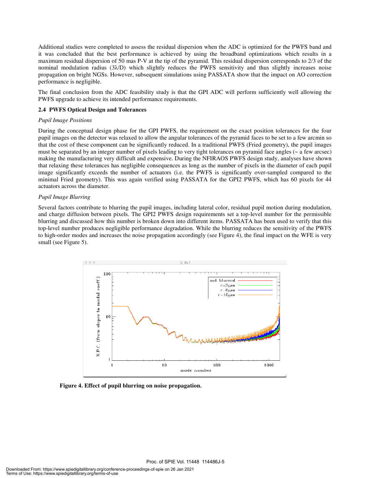Additional studies were completed to assess the residual dispersion when the ADC is optimized for the PWFS band and it was concluded that the best performance is achieved by using the broadband optimizations which results in a maximum residual dispersion of 50 mas P-V at the tip of the pyramid. This residual dispersion corresponds to 2/3 of the nominal modulation radius (3λ/D) which slightly reduces the PWFS sensitivity and thus slightly increases noise propagation on bright NGSs. However, subsequent simulations using PASSATA show that the impact on AO correction performance is negligible.

The final conclusion from the ADC feasibility study is that the GPI ADC will perform sufficiently well allowing the PWFS upgrade to achieve its intended performance requirements.

#### **2.4 PWFS Optical Design and Tolerances**

#### *Pupil Image Positions*

During the conceptual design phase for the GPI PWFS, the requirement on the exact position tolerances for the four pupil images on the detector was relaxed to allow the angular tolerances of the pyramid faces to be set to a few arcmin so that the cost of these component can be significantly reduced. In a traditional PWFS (Fried geometry), the pupil images must be separated by an integer number of pixels leading to very tight tolerances on pyramid face angles (~ a few arcsec) making the manufacturing very difficult and expensive. During the NFIRAOS PWFS design study, analyses have shown that relaxing these tolerances has negligible consequences as long as the number of pixels in the diameter of each pupil image significantly exceeds the number of actuators (i.e. the PWFS is significantly over-sampled compared to the minimal Fried geometry). This was again verified using PASSATA for the GPI2 PWFS, which has 60 pixels for 44 actuators across the diameter.

#### *Pupil Image Blurring*

Several factors contribute to blurring the pupil images, including lateral color, residual pupil motion during modulation, and charge diffusion between pixels. The GPI2 PWFS design requirements set a top-level number for the permissible blurring and discussed how this number is broken down into different items. PASSATA has been used to verify that this top-level number produces negligible performance degradation. While the blurring reduces the sensitivity of the PWFS to high-order modes and increases the noise propagation accordingly (see Figure 4), the final impact on the WFE is very small (see Figure 5).



Proc. of SPIE Vol. 11448 114486J-5

**Figure 4. Effect of pupil blurring on noise propagation.**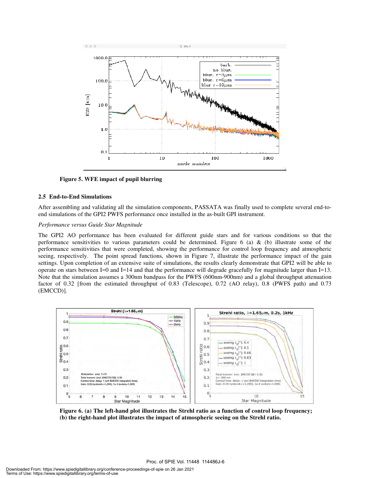

**Figure 5. WFE impact of pupil blurring** 

#### **2.5 End-to-End Simulations**

After assembling and validating all the simulation components, PASSATA was finally used to complete several end-toend simulations of the GPI2 PWFS performance once installed in the as-built GPI instrument.

#### *Performance versus Guide Star Magnitude*

The GPI2 AO performance has been evaluated for different guide stars and for various conditions so that the performance sensitivities to various parameters could be determined. Figure  $6$  (a)  $\&$  (b) illustrate some of the performance sensitivities that were completed, showing the performance for control loop frequency and atmospheric seeing, respectively. The point spread functions, shown in Figure 7, illustrate the performance impact of the gain settings. Upon completion of an extensive suite of simulations, the results clearly demonstrate that GPI2 will be able to operate on stars between I=0 and I=14 and that the performance will degrade gracefully for magnitude larger than I=13. Note that the simulation assumes a 300nm bandpass for the PWFS (600nm-900nm) and a global throughput attenuation factor of 0.32 [from the estimated throughput of 0.83 (Telescope), 0.72 (AO relay), 0.8 (PWFS path) and 0.73 (EMCCD)].



**Figure 6. (a) The left-hand plot illustrates the Strehl ratio as a function of control loop frequency; (b) the right-hand plot illustrates the impact of atmospheric seeing on the Strehl ratio.**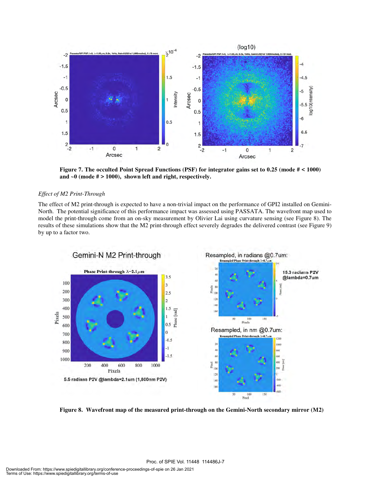

**Figure 7. The occulted Point Spread Functions (PSF) for integrator gains set to 0.25 (mode # < 1000) and ~0 (mode # > 1000), shown left and right, respectively.** 

#### *Effect of M2 Print-Through*

The effect of M2 print-through is expected to have a non-trivial impact on the performance of GPI2 installed on Gemini-North. The potential significance of this performance impact was assessed using PASSATA. The wavefront map used to model the print-through come from an on-sky measurement by Olivier Lai using curvature sensing (see Figure 8). The results of these simulations show that the M2 print-through effect severely degrades the delivered contrast (see Figure 9) by up to a factor two.



**Figure 8. Wavefront map of the measured print-through on the Gemini-North secondary mirror (M2)**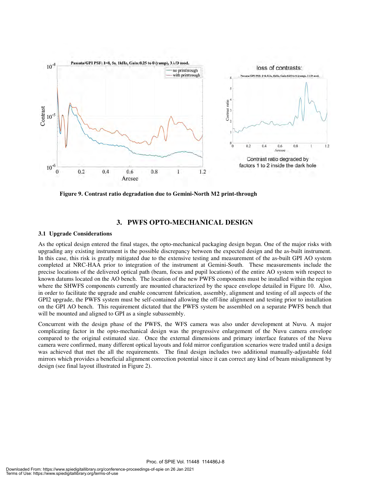

**Figure 9. Contrast ratio degradation due to Gemini-North M2 print-through** 

#### **3. PWFS OPTO-MECHANICAL DESIGN**

#### **3.1 Upgrade Considerations**

As the optical design entered the final stages, the opto-mechanical packaging design began. One of the major risks with upgrading any existing instrument is the possible discrepancy between the expected design and the as-built instrument. In this case, this risk is greatly mitigated due to the extensive testing and measurement of the as-built GPI AO system completed at NRC-HAA prior to integration of the instrument at Gemini-South. These measurements include the precise locations of the delivered optical path (beam, focus and pupil locations) of the entire AO system with respect to known datums located on the AO bench. The location of the new PWFS components must be installed within the region where the SHWFS components currently are mounted characterized by the space envelope detailed in Figure 10. Also, in order to facilitate the upgrade and enable concurrent fabrication, assembly, alignment and testing of all aspects of the GPI2 upgrade, the PWFS system must be self-contained allowing the off-line alignment and testing prior to installation on the GPI AO bench. This requirement dictated that the PWFS system be assembled on a separate PWFS bench that will be mounted and aligned to GPI as a single subassembly.

Concurrent with the design phase of the PWFS, the WFS camera was also under development at Nuvu. A major complicating factor in the opto-mechanical design was the progressive enlargement of the Nuvu camera envelope compared to the original estimated size. Once the external dimensions and primary interface features of the Nuvu camera were confirmed, many different optical layouts and fold mirror configuration scenarios were traded until a design was achieved that met the all the requirements. The final design includes two additional manually-adjustable fold mirrors which provides a beneficial alignment correction potential since it can correct any kind of beam misalignment by design (see final layout illustrated in Figure 2).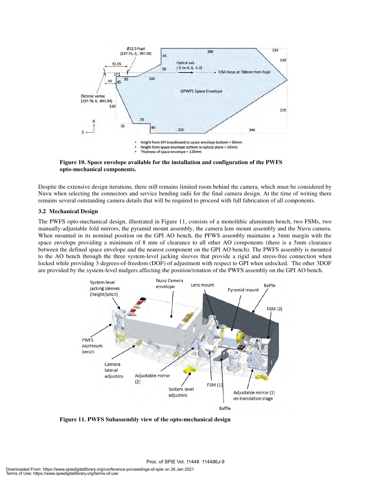

**Figure 10. Space envelope available for the installation and configuration of the PWFS opto-mechanical components.** 

Despite the extensive design iterations, there still remains limited room behind the camera, which must be considered by Nuvu when selecting the connectors and service bending radii for the final camera design. At the time of writing there remains several outstanding camera details that will be required to proceed with full fabrication of all components.

#### **3.2 Mechanical Design**

The PWFS opto-mechanical design, illustrated in Figure 11, consists of a monolithic aluminum bench, two FSMs, two manually-adjustable fold mirrors, the pyramid mount assembly, the camera lens mount assembly and the Nuvu camera. When mounted in its nominal position on the GPI AO bench, the PFWS assembly maintains a 3mm margin with the space envelope providing a minimum of 8 mm of clearance to all other AO components (there is a 5mm clearance between the defined space envelope and the nearest component on the GPI AO bench). The PWFS assembly is mounted to the AO bench through the three system-level jacking sleeves that provide a rigid and stress-free connection when locked while providing 3 degrees-of-freedom (DOF) of adjustment with respect to GPI when unlocked. The other 3DOF are provided by the system-level nudgers affecting the position/rotation of the PWFS assembly on the GPI AO bench.



**Figure 11. PWFS Subassembly view of the opto-mechanical design**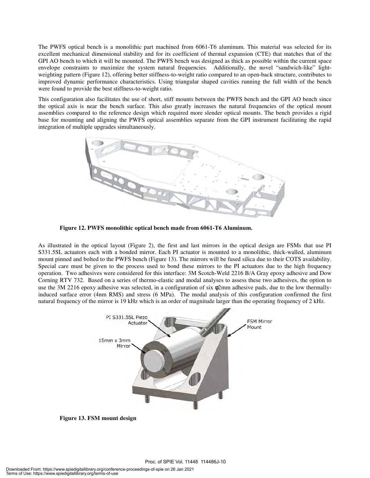The PWFS optical bench is a monolithic part machined from 6061-T6 aluminum. This material was selected for its excellent mechanical dimensional stability and for its coefficient of thermal expansion (CTE) that matches that of the GPI AO bench to which it will be mounted. The PWFS bench was designed as thick as possible within the current space envelope constraints to maximize the system natural frequencies. Additionally, the novel "sandwich-like" lightweighting pattern (Figure 12), offering better stiffness-to-weight ratio compared to an open-back structure, contributes to improved dynamic performance characteristics. Using triangular shaped cavities running the full width of the bench were found to provide the best stiffness-to-weight ratio.

This configuration also facilitates the use of short, stiff mounts between the PWFS bench and the GPI AO bench since the optical axis is near the bench surface. This also greatly increases the natural frequencies of the optical mount assemblies compared to the reference design which required more slender optical mounts. The bench provides a rigid base for mounting and aligning the PWFS optical assemblies separate from the GPI instrument facilitating the rapid integration of multiple upgrades simultaneously.



**Figure 12. PWFS monolithic optical bench made from 6061-T6 Aluminum.** 

As illustrated in the optical layout (Figure 2), the first and last mirrors in the optical design are FSMs that use PI S331.5SL actuators each with a bonded mirror. Each PI actuator is mounted to a monolithic, thick-walled, aluminum mount pinned and bolted to the PWFS bench (Figure 13). The mirrors will be fused silica due to their COTS availability. Special care must be given to the process used to bond these mirrors to the PI actuators due to the high frequency operation. Two adhesives were considered for this interface: 3M Scotch-Weld 2216 B/A Gray epoxy adhesive and Dow Corning RTV 732. Based on a series of thermo-elastic and modal analyses to assess these two adhesives, the option to use the 3M 2216 epoxy adhesive was selected, in a configuration of six φ2mm adhesive pads, due to the low thermallyinduced surface error (4nm RMS) and stress (6 MPa). The modal analysis of this configuration confirmed the first natural frequency of the mirror is 19 kHz which is an order of magnitude larger than the operating frequency of 2 kHz.



**Figure 13. FSM mount design**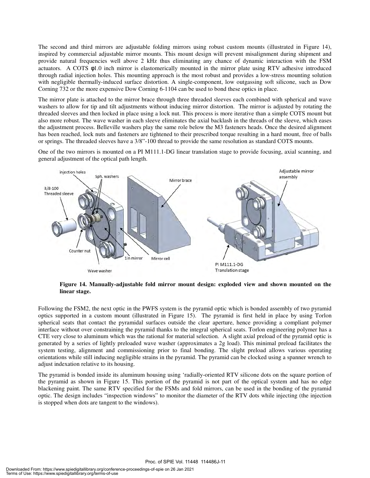The second and third mirrors are adjustable folding mirrors using robust custom mounts (illustrated in Figure 14), inspired by commercial adjustable mirror mounts. This mount design will prevent misalignment during shipment and provide natural frequencies well above 2 kHz thus eliminating any chance of dynamic interaction with the FSM actuators. A COTS φ1.0 inch mirror is elastomerically mounted in the mirror plate using RTV adhesive introduced through radial injection holes. This mounting approach is the most robust and provides a low-stress mounting solution with negligible thermally-induced surface distortion. A single-component, low outgassing soft silicone, such as Dow Corning 732 or the more expensive Dow Corning 6-1104 can be used to bond these optics in place.

The mirror plate is attached to the mirror brace through three threaded sleeves each combined with spherical and wave washers to allow for tip and tilt adjustments without inducing mirror distortion. The mirror is adjusted by rotating the threaded sleeves and then locked in place using a lock nut. This process is more iterative than a simple COTS mount but also more robust. The wave washer in each sleeve eliminates the axial backlash in the threads of the sleeve, which eases the adjustment process. Belleville washers play the same role below the M3 fasteners heads. Once the desired alignment has been reached, lock nuts and fasteners are tightened to their prescribed torque resulting in a hard mount, free of balls or springs. The threaded sleeves have a 3/8"-100 thread to provide the same resolution as standard COTS mounts.

One of the two mirrors is mounted on a PI M111.1-DG linear translation stage to provide focusing, axial scanning, and general adjustment of the optical path length.



**Figure 14. Manually-adjustable fold mirror mount design: exploded view and shown mounted on the linear stage.** 

Following the FSM2, the next optic in the PWFS system is the pyramid optic which is bonded assembly of two pyramid optics supported in a custom mount (illustrated in Figure 15). The pyramid is first held in place by using Torlon spherical seats that contact the pyramidal surfaces outside the clear aperture, hence providing a compliant polymer interface without over constraining the pyramid thanks to the integral spherical seats. Torlon engineering polymer has a CTE very close to aluminum which was the rational for material selection. A slight axial preload of the pyramid optic is generated by a series of lightly preloaded wave washer (approximates a 2g load). This minimal preload facilitates the system testing, alignment and commissioning prior to final bonding. The slight preload allows various operating orientations while still inducing negligible strains in the pyramid. The pyramid can be clocked using a spanner wrench to adjust indexation relative to its housing.

The pyramid is bonded inside its aluminum housing using 'radially-oriented RTV silicone dots on the square portion of the pyramid as shown in Figure 15. This portion of the pyramid is not part of the optical system and has no edge blackening paint. The same RTV specified for the FSMs and fold mirrors, can be used in the bonding of the pyramid optic. The design includes "inspection windows" to monitor the diameter of the RTV dots while injecting (the injection is stopped when dots are tangent to the windows).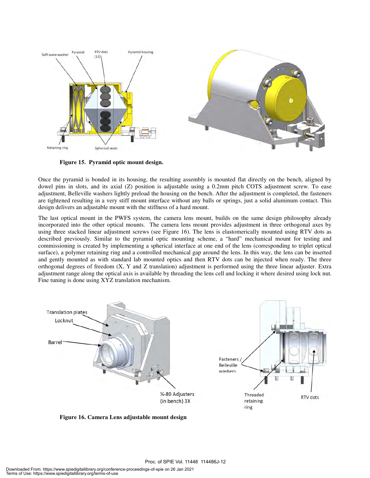

**Figure 15. Pyramid optic mount design.** 

Once the pyramid is bonded in its housing, the resulting assembly is mounted flat directly on the bench, aligned by dowel pins in slots, and its axial (Z) position is adjustable using a 0.2mm pitch COTS adjustment screw. To ease adjustment, Belleville washers lightly preload the housing on the bench. After the adjustment is completed, the fasteners are tightened resulting in a very stiff mount interface without any balls or springs, just a solid aluminum contact. This design delivers an adjustable mount with the stiffness of a hard mount.

The last optical mount in the PWFS system, the camera lens mount, builds on the same design philosophy already incorporated into the other optical mounts. The camera lens mount provides adjustment in three orthogonal axes by using three stacked linear adjustment screws (see Figure 16). The lens is elastomerically mounted using RTV dots as described previously. Similar to the pyramid optic mounting scheme, a "hard" mechanical mount for testing and commissioning is created by implementing a spherical interface at one end of the lens (corresponding to triplet optical surface), a polymer retaining ring and a controlled mechanical gap around the lens. In this way, the lens can be inserted and gently mounted as with standard lab mounted optics and then RTV dots can be injected when ready. The three orthogonal degrees of freedom (X, Y and Z translation) adjustment is performed using the three linear adjuster. Extra adjustment range along the optical axis is available by threading the lens cell and locking it where desired using lock nut. Fine tuning is done using XYZ translation mechanism.



**Figure 16. Camera Lens adjustable mount design**